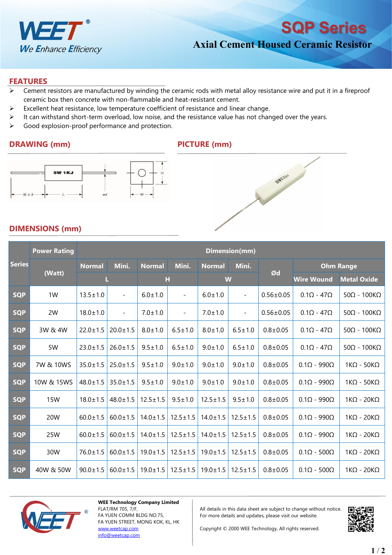

# **Axial Cement Housed Ceramic Resistor**

**SQP Series** 

#### **FEATURES**

- Cement resistors are manufactured by winding the ceramic rods with metal alloy resistance wire and put it in a fireproof ceramic box then concrete with non-flammable and heat-resistant cement.
- $\triangleright$  Excellent heat resistance, low temperature coefficient of resistance and linear change.
- $\triangleright$  It can withstand short-term overload, low noise, and the resistance value has not changed over the years.
- $\triangleright$  Good explosion-proof performance and protection.

#### **DRAWING (mm) PICTURE (mm)**





### **DIMENSIONS (mm)**

|               | <b>Power Rating</b> |                |                          |                |                          |                | Dimension(mm)  |                 |                         |                         |
|---------------|---------------------|----------------|--------------------------|----------------|--------------------------|----------------|----------------|-----------------|-------------------------|-------------------------|
| <b>Series</b> |                     | <b>Normal</b>  | Mini.                    | <b>Normal</b>  | Mini.                    | <b>Normal</b>  | Mini.          |                 |                         | <b>Ohm Range</b>        |
|               | (Watt)              |                |                          | н              |                          | W              |                | Ød              | <b>Wire Wound</b>       | <b>Metal Oxide</b>      |
| <b>SQP</b>    | 1W                  | $13.5 \pm 1.0$ | $\overline{\phantom{a}}$ | $6.0 \pm 1.0$  | $\overline{\phantom{a}}$ | $6.0 \pm 1.0$  | $-$            | $0.56 \pm 0.05$ | $0.1\Omega - 47\Omega$  | $50\Omega - 100K\Omega$ |
| <b>SQP</b>    | 2W                  | $18.0 \pm 1.0$ | $\overline{\phantom{a}}$ | $7.0 \pm 1.0$  | $\overline{\phantom{a}}$ | $7.0 \pm 1.0$  | $-$            | $0.56 \pm 0.05$ | $0.1\Omega - 47\Omega$  | $50\Omega - 100K\Omega$ |
| <b>SQP</b>    | 3W & 4W             | $22.0 \pm 1.5$ | $20.0 \pm 1.5$           | $8.0 \pm 1.0$  | $6.5 \pm 1.0$            | $8.0 \pm 1.0$  | $6.5 \pm 1.0$  | $0.8 + 0.05$    | $0.1\Omega - 47\Omega$  | $50\Omega - 100K\Omega$ |
| <b>SQP</b>    | 5W                  | $23.0 \pm 1.5$ | $26.0 \pm 1.5$           | $9.5 \pm 1.0$  | $6.5 \pm 1.0$            | $9.0 \pm 1.0$  | $6.5 \pm 1.0$  | $0.8 \pm 0.05$  | $0.1\Omega - 47\Omega$  | $50\Omega - 100K\Omega$ |
| <b>SQP</b>    | 7W & 10WS           | $35.0 \pm 1.5$ | $25.0 \pm 1.5$           | $9.5 \pm 1.0$  | $9.0 \pm 1.0$            | $9.0 \pm 1.0$  | $9.0 \pm 1.0$  | $0.8 + 0.05$    | $0.1\Omega - 990\Omega$ | $1K\Omega - 50K\Omega$  |
| <b>SQP</b>    | 10W & 15WS          | $48.0 \pm 1.5$ | $35.0 \pm 1.5$           | $9.5 \pm 1.0$  | $9.0 \pm 1.0$            | $9.0 \pm 1.0$  | $9.0 \pm 1.0$  | $0.8 \pm 0.05$  | $0.1\Omega - 990\Omega$ | $1K\Omega - 50K\Omega$  |
| <b>SQP</b>    | <b>15W</b>          | $18.0 \pm 1.5$ | $48.0 \pm 1.5$           | $12.5 \pm 1.5$ | $9.5 \pm 1.0$            | $12.5 \pm 1.5$ | $9.5 \pm 1.0$  | $0.8 + 0.05$    | $0.1\Omega - 990\Omega$ | $1K\Omega - 20K\Omega$  |
| <b>SQP</b>    | 20W                 | $60.0 \pm 1.5$ | $60.0 \pm 1.5$           | $14.0 \pm 1.5$ | $12.5 \pm 1.5$           | $14.0 \pm 1.5$ | $12.5 \pm 1.5$ | $0.8 + 0.05$    | $0.1\Omega - 990\Omega$ | $1K\Omega - 20K\Omega$  |
| <b>SQP</b>    | 25W                 | $60.0 \pm 1.5$ | $60.0 \pm 1.5$           | $14.0 \pm 1.5$ | $12.5 \pm 1.5$           | $14.0 \pm 1.5$ | $12.5 \pm 1.5$ | $0.8 \pm 0.05$  | $0.1\Omega - 990\Omega$ | $1K\Omega - 20K\Omega$  |
| <b>SQP</b>    | 30W                 | $76.0 \pm 1.5$ | $60.0 \pm 1.5$           | $19.0 \pm 1.5$ | $12.5 \pm 1.5$           | $19.0 \pm 1.5$ | $12.5 \pm 1.5$ | $0.8 \pm 0.05$  | $0.1\Omega - 500\Omega$ | $1K\Omega - 20K\Omega$  |
| <b>SQP</b>    | 40W & 50W           | $90.0 \pm 1.5$ | $60.0 \pm 1.5$           | $19.0 \pm 1.5$ | $12.5 \pm 1.5$           | $19.0 \pm 1.5$ | $12.5 \pm 1.5$ | $0.8 \pm 0.05$  | $0.1\Omega - 500\Omega$ | $1K\Omega - 20K\Omega$  |



**WEE Technology Company Limited** FLAT/RM 705, 7/F, FA YUEN COMM BLDG NO.75, FA YUEN STREET, MONG KOK, KL, HK [www.weetcap.com](http://www.weetcap.com) [info@weetcap.com](mailto:info@weetcap.com)

All details in this data sheet are subject to change without notice.  $\Box$ For more details and updates, please visit our website.



Copyright © 2000 WEE Technology, All rights reserved.